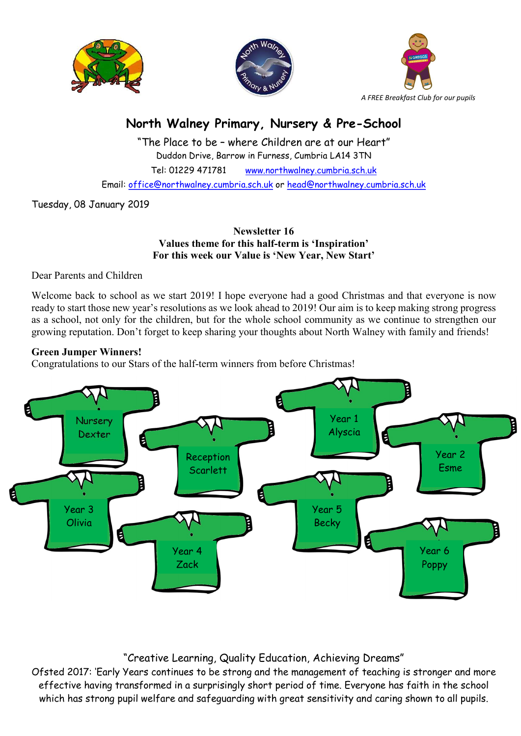





# North Walney Primary, Nursery & Pre-School

"The Place to be – where Children are at our Heart" Duddon Drive, Barrow in Furness, Cumbria LA14 3TN Tel: 01229 471781 www.northwalney.cumbria.sch.uk Email: office@northwalney.cumbria.sch.uk or head@northwalney.cumbria.sch.uk

Tuesday, 08 January 2019

#### Newsletter 16 Values theme for this half-term is 'Inspiration' For this week our Value is 'New Year, New Start'

Dear Parents and Children

Welcome back to school as we start 2019! I hope everyone had a good Christmas and that everyone is now ready to start those new year's resolutions as we look ahead to 2019! Our aim is to keep making strong progress as a school, not only for the children, but for the whole school community as we continue to strengthen our growing reputation. Don't forget to keep sharing your thoughts about North Walney with family and friends!

## Green Jumper Winners!

Congratulations to our Stars of the half-term winners from before Christmas!



## "Creative Learning, Quality Education, Achieving Dreams"

Ofsted 2017: 'Early Years continues to be strong and the management of teaching is stronger and more effective having transformed in a surprisingly short period of time. Everyone has faith in the school which has strong pupil welfare and safeguarding with great sensitivity and caring shown to all pupils.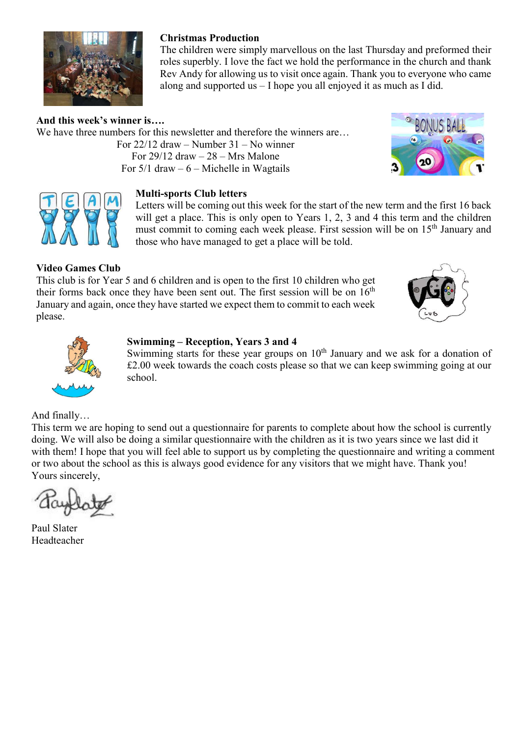

## Christmas Production

The children were simply marvellous on the last Thursday and preformed their roles superbly. I love the fact we hold the performance in the church and thank Rev Andy for allowing us to visit once again. Thank you to everyone who came along and supported us – I hope you all enjoyed it as much as I did.

And this week's winner is…. We have three numbers for this newsletter and therefore the winners are... For 22/12 draw – Number 31 – No winner For  $29/12$  draw  $-28$  – Mrs Malone For  $5/1$  draw  $-6$  – Michelle in Wagtails







Letters will be coming out this week for the start of the new term and the first 16 back will get a place. This is only open to Years 1, 2, 3 and 4 this term and the children must commit to coming each week please. First session will be on 15<sup>th</sup> January and those who have managed to get a place will be told.

## Video Games Club

This club is for Year 5 and 6 children and is open to the first 10 children who get their forms back once they have been sent out. The first session will be on  $16<sup>th</sup>$ January and again, once they have started we expect them to commit to each week please.





#### Swimming – Reception, Years 3 and 4

Swimming starts for these year groups on  $10<sup>th</sup>$  January and we ask for a donation of £2.00 week towards the coach costs please so that we can keep swimming going at our school.

And finally…

This term we are hoping to send out a questionnaire for parents to complete about how the school is currently doing. We will also be doing a similar questionnaire with the children as it is two years since we last did it with them! I hope that you will feel able to support us by completing the questionnaire and writing a comment or two about the school as this is always good evidence for any visitors that we might have. Thank you! Yours sincerely,

Paul Slater Headteacher